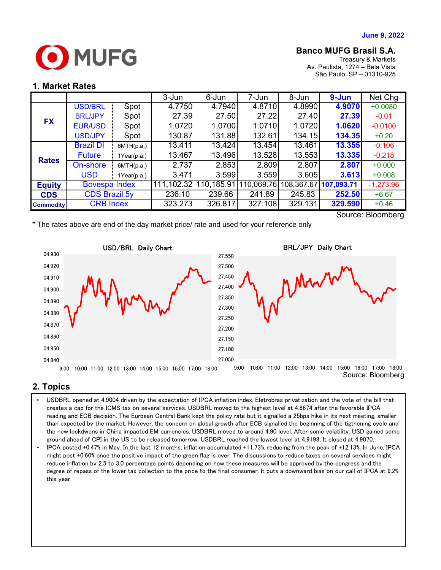

## **Banco MUFG Brasil S.A.**

Treasury & Markets Av. Paulista, 1274 – Bela Vista São Paulo, SP – 01310-925

#### **1. Market Rates**

|                   |                      |             | 3-Jun      | 6-Jun      | 7-Jun      | 8-Jun   | $9 - Jun$             | Net Chg     |
|-------------------|----------------------|-------------|------------|------------|------------|---------|-----------------------|-------------|
| <b>FX</b>         | <b>USD/BRL</b>       | Spot        | 4.7750     | 4.7940     | 4.8710     | 4.8990  | 4.9070                | $+0.0080$   |
|                   | <b>BRL/JPY</b>       | Spot        | 27.39      | 27.50      | 27.22      | 27.40   | 27.39                 | $-0.01$     |
|                   | <b>EUR/USD</b>       | Spot        | 1.0720     | 1.0700     | 1.0710     | 1.0720  | 1.0620                | $-0.0100$   |
|                   | <b>USD/JPY</b>       | Spot        | 130.87     | 131.88     | 132.61     | 134.15  | 134.35                | $+0.20$     |
| <b>Rates</b>      | <b>Brazil DI</b>     | 6MTH(p.a.)  | 13.411     | 13.424     | 13.454     | 13.461  | 13.355                | $-0.106$    |
|                   | <b>Future</b>        | 1Year(p.a.) | 13.467     | 13.496     | 13.528     | 13.553  | 13.335                | $-0.218$    |
|                   | On-shore             | 6MTH(p.a.)  | 2.737      | 2.853      | 2.809      | 2.807   | 2.807                 | $+0.000$    |
|                   | <b>USD</b>           | 1Year(p.a.) | 3.471      | 3.599      | 3.559      | 3.605   | 3.613                 | $+0.008$    |
| <b>Equity</b>     | <b>Bovespa Index</b> |             | 111,102.32 | 110,185.91 | 110,069.76 |         | 108,367.67 107,093.71 | $-1,273.96$ |
| <b>CDS</b>        | <b>CDS Brazil 5y</b> |             | 236.10     | 239.66     | 241.89     | 245.83  | 252.50                | $+6.67$     |
| <b>Commodity</b>  | <b>CRB Index</b>     |             | 323.273    | 326.817    | 327.108    | 329.131 | 329.590               | $+0.46$     |
| Source: Bloomberg |                      |             |            |            |            |         |                       |             |

\* The rates above are end of the day market price/ rate and used for your reference only

BRL/JPY Daily Chart USD/BRL Daily Chart04.930 27.550 04.920 27.500 04.910 27.450 Mw 27.400 04.900 27.350 04.890 27.300 04.880 27.250 04.870 27.200 04.860 27.150 04.850 27.100 27.050 04.840 9:00 10:00 11:00 12:00 13:00 14:00 15:00 16:00 17:00 18:00 9:00 10:00 11:00 12:00 13:00 14:00 15:00 16:00 17:00 18:00 Source: Bloomberg

## **2. Topics**

- than expected by the market. However, the concern on global growth after ECB signalled the beginning of the tigthening cycle and  $\; \; | \;$ • USDBRL opened at 4.9004 driven by the expectation of IPCA inflation index, Eletrobras privatization and the vote of the bill that creates a cap for the ICMS tax on several services. USDBRL moved to the highest level at 4.8674 after the favorable IPCA reading and ECB decision. The Eurpean Central Bank kept the policy rate but it signalled a 25bps hike in its next meeting, smaller the new lockdwons in China impacted EM currencies. USDBRL moved to around 4.90 level. After some volatility, USD gained some ground ahead of CPI in the US to be released tomorrow. USDBRL reached the lowest level at 4.9198. It closed at 4.9070.
- IPCA posted +0.47% in May. In the last 12 months, inflation accumulated +11.73%, reducing from the peak of +12.13%. In June, IPCA might post +0.60% once the positive impact of the green flag is over. The discussions to reduce taxes on several services might reduce inflation by 2.5 to 3.0 percentage points depending on how these measures will be approved by the congress and the degree of repass of the lower tax collection to the price to the final consumer. It puts a downward bias on our call of IPCA at 9.2% this year.